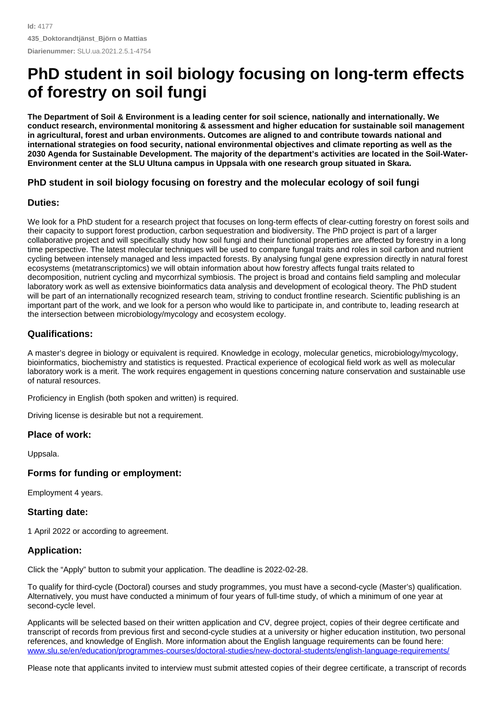# **PhD student in soil biology focusing on long-term effects of forestry on soil fungi**

The Department of Soil & Environment is a leading center for soil science, nationally and internationally. We **conduct research, environmental monitoring & assessment and higher education for sustainable soil management in agricultural, forest and urban environments. Outcomes are aligned to and contribute towards national and international strategies on food security, national environmental objectives and climate reporting as well as the** 2030 Agenda for Sustainable Development. The majority of the department's activities are located in the Soil-Water-**Environment center at the SLU Ultuna campus in Uppsala with one research group situated in Skara.**

## **PhD student in soil biology focusing on forestry and the molecular ecology ofsoil fungi**

#### **Duties:**

We look for a PhD student for a research project that focuses on long-term effects of clear-cutting forestry on forest soils and their capacity to support forest production, carbon sequestration and biodiversity. The PhD project is part of a larger collaborative project and will specifically study how soil fungi and their functional properties are affected by forestry in a long time perspective. The latest molecular techniques will be used to compare fungal traits and roles in soil carbon and nutrient cycling between intensely managed and less impacted forests. By analysing fungal gene expression directly in natural forest ecosystems (metatranscriptomics) we will obtain information about how forestry affects fungal traits related to decomposition, nutrient cycling and mycorrhizal symbiosis. The project is broad and contains field sampling and molecular laboratory work as well as extensive bioinformatics data analysis and development of ecological theory. The PhD student will be part of an internationally recognized research team, striving to conduct frontline research. Scientific publishing is an important part of the work, and we look for a person who would like to participate in, and contribute to, leading research at the intersection between microbiology/mycology and ecosystem ecology.

## **Qualifications:**

A master's degree in biology or equivalent is required. Knowledge in ecology, molecular genetics, microbiology/mycology, bioinformatics, biochemistry and statistics is requested. Practical experience of ecological field work as well as molecular laboratory work is a merit. The work requires engagement in questions concerning nature conservation and sustainable use of natural resources.

Proficiency in English (both spoken and written) is required.

Driving license is desirable but not a requirement.

## **Place of work:**

Uppsala.

## **Forms** for funding or employment:

Employment 4 years.

## **Starting date:**

1 April 2022 or according to agreement.

## **Application:**

Click the "Apply" button to submit your application. The deadline is 2022-02-28.

To qualify for third-cycle (Doctoral) courses and study programmes, you must have a second-cycle (Master's) qualification. Alternatively, you must have conducted a minimum of four years of full-time study, of which a minimum of one year at second-cycle level.

Applicants will be selected based on their written application and CV, degree project, copies of their degree certificate and transcript of records from previous first and second-cycle studies at a university or higher education institution, two personal references, and knowledge of English. More information about the English language requirements can be found here: [www.slu.se/en/education/programmes-courses/doctoral-studies/new-doctoral-students/english-language-requirements/](http://www.slu.se/en/education/programmes-courses/doctoral-studies/new-doctoral-students/english-language-requirements/)

Please note that applicants invited to interview must submit attested copies of their degree certificate, a transcript of records